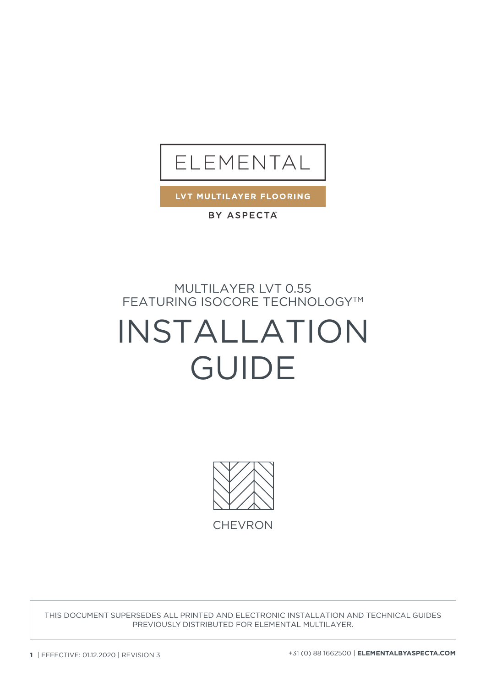

LVT MULTILAYER FLOORING

BY ASPECTA

MULTILAYER LVT 0.55 FEATURING ISOCORE TECHNOLOGY™

# INSTALLATION GUIDE



THIS DOCUMENT SUPERSEDES ALL PRINTED AND ELECTRONIC INSTALLATION AND TECHNICAL GUIDES PREVIOUSLY DISTRIBUTED FOR ELEMENTAL MULTILAYER.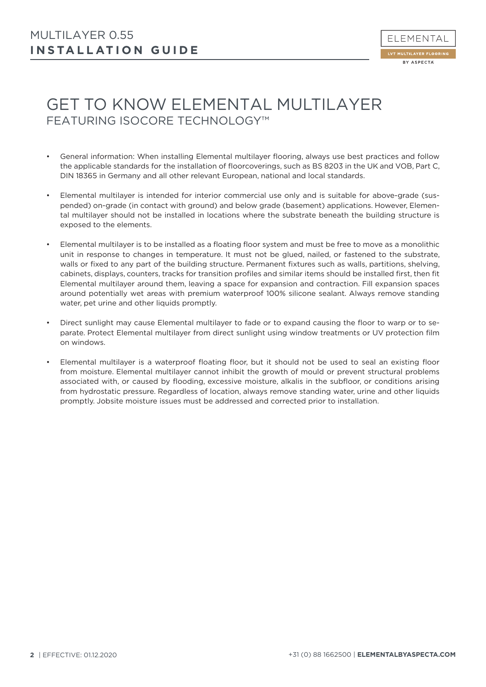

## GET TO KNOW ELEMENTAL MULTILAYER FEATURING ISOCORE TECHNOLOGY™

- General information: When installing Elemental multilayer flooring, always use best practices and follow the applicable standards for the installation of floorcoverings, such as BS 8203 in the UK and VOB, Part C, DIN 18365 in Germany and all other relevant European, national and local standards.
- Elemental multilayer is intended for interior commercial use only and is suitable for above-grade (suspended) on-grade (in contact with ground) and below grade (basement) applications. However, Elemental multilayer should not be installed in locations where the substrate beneath the building structure is exposed to the elements.
- Elemental multilayer is to be installed as a floating floor system and must be free to move as a monolithic unit in response to changes in temperature. It must not be glued, nailed, or fastened to the substrate, walls or fixed to any part of the building structure. Permanent fixtures such as walls, partitions, shelving, cabinets, displays, counters, tracks for transition profiles and similar items should be installed first, then fit Elemental multilayer around them, leaving a space for expansion and contraction. Fill expansion spaces around potentially wet areas with premium waterproof 100% silicone sealant. Always remove standing water, pet urine and other liquids promptly.
- Direct sunlight may cause Elemental multilayer to fade or to expand causing the floor to warp or to separate. Protect Elemental multilayer from direct sunlight using window treatments or UV protection film on windows.
- Elemental multilayer is a waterproof floating floor, but it should not be used to seal an existing floor from moisture. Elemental multilayer cannot inhibit the growth of mould or prevent structural problems associated with, or caused by flooding, excessive moisture, alkalis in the subfloor, or conditions arising from hydrostatic pressure. Regardless of location, always remove standing water, urine and other liquids promptly. Jobsite moisture issues must be addressed and corrected prior to installation.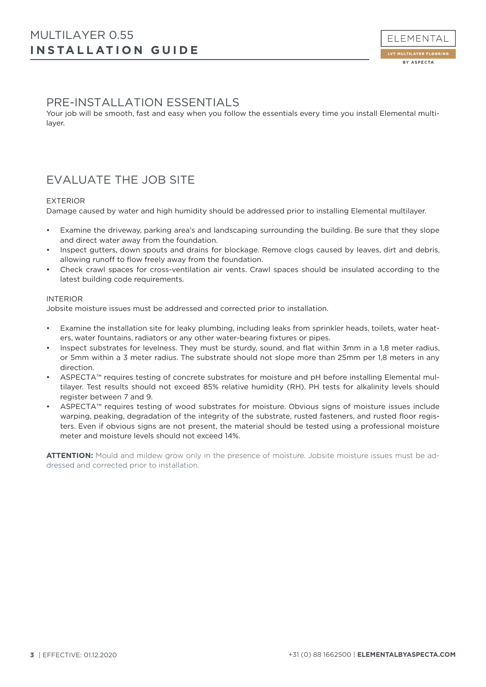### PRE-INSTALLATION ESSENTIALS

Your job will be smooth, fast and easy when you follow the essentials every time you install Elemental multilayer.

## EVALUATE THE JOB SITE

#### EXTERIOR

Damage caused by water and high humidity should be addressed prior to installing Elemental multilayer.

- Examine the driveway, parking area's and landscaping surrounding the building. Be sure that they slope and direct water away from the foundation.
- Inspect gutters, down spouts and drains for blockage. Remove clogs caused by leaves, dirt and debris, allowing runoff to flow freely away from the foundation.
- Check crawl spaces for cross-ventilation air vents. Crawl spaces should be insulated according to the latest building code requirements.

#### INTERIOR

Jobsite moisture issues must be addressed and corrected prior to installation.

- Examine the installation site for leaky plumbing, including leaks from sprinkler heads, toilets, water heaters, water fountains, radiators or any other water-bearing fixtures or pipes.
- Inspect substrates for levelness. They must be sturdy, sound, and flat within 3mm in a 1,8 meter radius, or 5mm within a 3 meter radius. The substrate should not slope more than 25mm per 1,8 meters in any direction.
- ASPECTA™ requires testing of concrete substrates for moisture and pH before installing Elemental multilayer. Test results should not exceed 85% relative humidity (RH). PH tests for alkalinity levels should register between 7 and 9.
- ASPECTA™ requires testing of wood substrates for moisture. Obvious signs of moisture issues include warping, peaking, degradation of the integrity of the substrate, rusted fasteners, and rusted floor registers. Even if obvious signs are not present, the material should be tested using a professional moisture meter and moisture levels should not exceed 14%.

**ATTENTION:** Mould and mildew grow only in the presence of moisture. Jobsite moisture issues must be addressed and corrected prior to installation.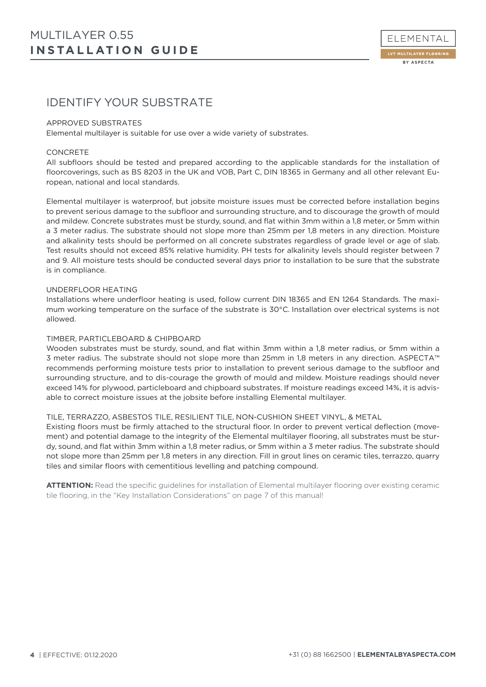

## IDENTIFY YOUR SUBSTRATE

#### APPROVED SUBSTRATES

Elemental multilayer is suitable for use over a wide variety of substrates.

#### CONCRETE

All subfloors should be tested and prepared according to the applicable standards for the installation of floorcoverings, such as BS 8203 in the UK and VOB, Part C, DIN 18365 in Germany and all other relevant European, national and local standards.

Elemental multilayer is waterproof, but jobsite moisture issues must be corrected before installation begins to prevent serious damage to the subfloor and surrounding structure, and to discourage the growth of mould and mildew. Concrete substrates must be sturdy, sound, and flat within 3mm within a 1,8 meter, or 5mm within a 3 meter radius. The substrate should not slope more than 25mm per 1,8 meters in any direction. Moisture and alkalinity tests should be performed on all concrete substrates regardless of grade level or age of slab. Test results should not exceed 85% relative humidity. PH tests for alkalinity levels should register between 7 and 9. All moisture tests should be conducted several days prior to installation to be sure that the substrate is in compliance.

#### UNDERFLOOR HEATING

Installations where underfloor heating is used, follow current DIN 18365 and EN 1264 Standards. The maximum working temperature on the surface of the substrate is 30°C. Installation over electrical systems is not allowed.

#### TIMBER, PARTICLEBOARD & CHIPBOARD

Wooden substrates must be sturdy, sound, and flat within 3mm within a 1,8 meter radius, or 5mm within a 3 meter radius. The substrate should not slope more than 25mm in 1,8 meters in any direction. ASPECTA™ recommends performing moisture tests prior to installation to prevent serious damage to the subfloor and surrounding structure, and to dis-courage the growth of mould and mildew. Moisture readings should never exceed 14% for plywood, particleboard and chipboard substrates. If moisture readings exceed 14%, it is advisable to correct moisture issues at the jobsite before installing Elemental multilayer.

#### TILE, TERRAZZO, ASBESTOS TILE, RESILIENT TILE, NON-CUSHION SHEET VINYL, & METAL

Existing floors must be firmly attached to the structural floor. In order to prevent vertical deflection (movement) and potential damage to the integrity of the Elemental multilayer flooring, all substrates must be sturdy, sound, and flat within 3mm within a 1,8 meter radius, or 5mm within a 3 meter radius. The substrate should not slope more than 25mm per 1,8 meters in any direction. Fill in grout lines on ceramic tiles, terrazzo, quarry tiles and similar floors with cementitious levelling and patching compound.

**ATTENTION:** Read the specific guidelines for installation of Elemental multilayer flooring over existing ceramic tile flooring, in the "Key Installation Considerations" on page 7 of this manual!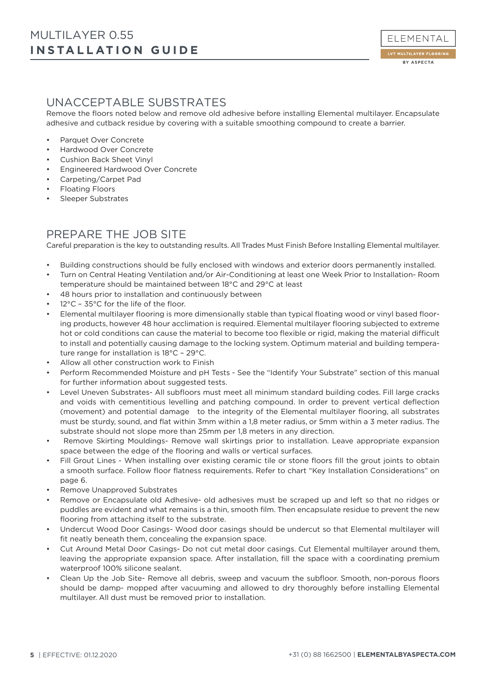## UNACCEPTABLE SUBSTRATES

Remove the floors noted below and remove old adhesive before installing Elemental multilayer. Encapsulate adhesive and cutback residue by covering with a suitable smoothing compound to create a barrier.

- Parquet Over Concrete
- Hardwood Over Concrete
- Cushion Back Sheet Vinyl
- Engineered Hardwood Over Concrete
- Carpeting/Carpet Pad
- Floating Floors
- Sleeper Substrates

## PREPARE THE JOB SITE

Careful preparation is the key to outstanding results. All Trades Must Finish Before Installing Elemental multilayer.

- Building constructions should be fully enclosed with windows and exterior doors permanently installed.
- Turn on Central Heating Ventilation and/or Air-Conditioning at least one Week Prior to Installation- Room temperature should be maintained between 18°C and 29°C at least
- 48 hours prior to installation and continuously between
- 12°C 35°C for the life of the floor.
- Elemental multilayer flooring is more dimensionally stable than typical floating wood or vinyl based flooring products, however 48 hour acclimation is required. Elemental multilayer flooring subjected to extreme hot or cold conditions can cause the material to become too flexible or rigid, making the material difficult to install and potentially causing damage to the locking system. Optimum material and building temperature range for installation is 18°C – 29°C.
- Allow all other construction work to Finish
- Perform Recommended Moisture and pH Tests See the "Identify Your Substrate" section of this manual for further information about suggested tests.
- Level Uneven Substrates- All subfloors must meet all minimum standard building codes. Fill large cracks and voids with cementitious levelling and patching compound. In order to prevent vertical deflection (movement) and potential damage to the integrity of the Elemental multilayer flooring, all substrates must be sturdy, sound, and flat within 3mm within a 1,8 meter radius, or 5mm within a 3 meter radius. The substrate should not slope more than 25mm per 1,8 meters in any direction.
- Remove Skirting Mouldings- Remove wall skirtings prior to installation. Leave appropriate expansion space between the edge of the flooring and walls or vertical surfaces.
- Fill Grout Lines When installing over existing ceramic tile or stone floors fill the grout joints to obtain a smooth surface. Follow floor flatness requirements. Refer to chart "Key Installation Considerations" on page 6.
- Remove Unapproved Substrates
- Remove or Encapsulate old Adhesive- old adhesives must be scraped up and left so that no ridges or puddles are evident and what remains is a thin, smooth film. Then encapsulate residue to prevent the new flooring from attaching itself to the substrate.
- Undercut Wood Door Casings- Wood door casings should be undercut so that Elemental multilayer will fit neatly beneath them, concealing the expansion space.
- Cut Around Metal Door Casings- Do not cut metal door casings. Cut Elemental multilayer around them, leaving the appropriate expansion space. After installation, fill the space with a coordinating premium waterproof 100% silicone sealant.
- Clean Up the Job Site- Remove all debris, sweep and vacuum the subfloor. Smooth, non-porous floors should be damp- mopped after vacuuming and allowed to dry thoroughly before installing Elemental multilayer. All dust must be removed prior to installation.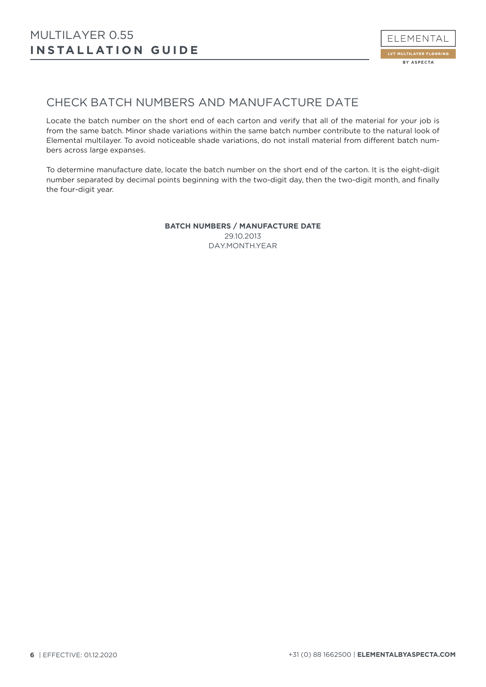

## CHECK BATCH NUMBERS AND MANUFACTURE DATE

Locate the batch number on the short end of each carton and verify that all of the material for your job is from the same batch. Minor shade variations within the same batch number contribute to the natural look of Elemental multilayer. To avoid noticeable shade variations, do not install material from different batch numbers across large expanses.

To determine manufacture date, locate the batch number on the short end of the carton. It is the eight-digit number separated by decimal points beginning with the two-digit day, then the two-digit month, and finally the four-digit year.

> **BATCH NUMBERS / MANUFACTURE DATE** 29.10.2013 DAY.MONTH.YEAR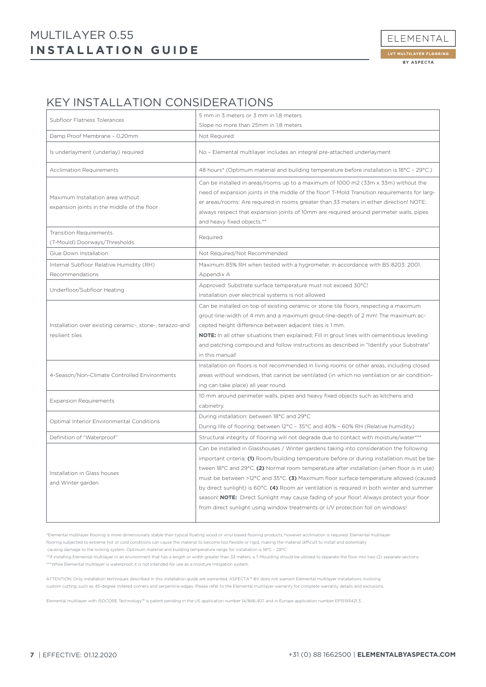## **INSTALLATION GUIDE** MULTILAYER 0.55

## KEY INSTALLATION CONSIDERATIONS

| Subfloor Flatness Tolerances                                                     | 5 mm in 3 meters or 3 mm in 1,8 meters                                                                                                                                                                                                                                                                                                                                                                                                                                                                                                                                                                                                                     |  |  |
|----------------------------------------------------------------------------------|------------------------------------------------------------------------------------------------------------------------------------------------------------------------------------------------------------------------------------------------------------------------------------------------------------------------------------------------------------------------------------------------------------------------------------------------------------------------------------------------------------------------------------------------------------------------------------------------------------------------------------------------------------|--|--|
| Damp Proof Membrane - 0,20mm                                                     | Slope no more than 25mm in 1,8 meters                                                                                                                                                                                                                                                                                                                                                                                                                                                                                                                                                                                                                      |  |  |
|                                                                                  | Not Required                                                                                                                                                                                                                                                                                                                                                                                                                                                                                                                                                                                                                                               |  |  |
| Is underlayment (underlay) required                                              | No - Elemental multilayer includes an integral pre-attached underlayment                                                                                                                                                                                                                                                                                                                                                                                                                                                                                                                                                                                   |  |  |
| <b>Acclimation Requirements</b>                                                  | 48 hours* (Optimum material and building temperature before installation is 18°C - 29°C.)                                                                                                                                                                                                                                                                                                                                                                                                                                                                                                                                                                  |  |  |
| Maximum Installation area without<br>expansion joints in the middle of the floor | Can be installed in areas/rooms up to a maximum of 1000 m2 (33m x 33m) without the<br>need of expansion joints in the middle of the floor! T-Mold Transition requirements for larg-<br>er areas/rooms: Are required in rooms greater than 33 meters in either direction! NOTE:<br>always respect that expansion joints of 10mm are required around perimeter walls, pipes<br>and heavy fixed objects.**                                                                                                                                                                                                                                                    |  |  |
| <b>Transition Requirements</b><br>(T-Mould) Doorways/Thresholds                  | Required                                                                                                                                                                                                                                                                                                                                                                                                                                                                                                                                                                                                                                                   |  |  |
| Glue Down Installation                                                           | Not Required/Not Recommended                                                                                                                                                                                                                                                                                                                                                                                                                                                                                                                                                                                                                               |  |  |
| Internal Subfloor Relative Humidity (RH)<br>Recommendations                      | Maximum 85% RH when tested with a hygrometer, in accordance with BS 8203: 2001.<br>Appendix A                                                                                                                                                                                                                                                                                                                                                                                                                                                                                                                                                              |  |  |
| Underfloor/Subfloor Heating                                                      | Approved: Substrate surface temperature must not exceed 30°C!<br>Installation over electrical systems is not allowed                                                                                                                                                                                                                                                                                                                                                                                                                                                                                                                                       |  |  |
| Installation over existing ceramic-, stone-, terazzo-and<br>resilient tiles      | Can be installed on top of existing ceramic or stone tile floors, respecting a maximum<br>grout-line-width of 4 mm and a maximum grout-line-depth of 2 mm! The maximum ac-<br>cepted height difference between adjacent tiles is 1 mm.<br>NOTE: In all other situations then explained; Fill in grout lines with cementitious levelling<br>and patching compound and follow instructions as described in "Identify your Substrate"<br>in this manual!                                                                                                                                                                                                      |  |  |
| 4-Season/Non-Climate Controlled Environments                                     | Installation on floors is not recommended in living rooms or other areas, including closed<br>areas without windows, that cannot be ventilated (in which no ventilation or air condition-<br>ing can take place) all year round.                                                                                                                                                                                                                                                                                                                                                                                                                           |  |  |
| <b>Expansion Requirements</b>                                                    | 10 mm around perimeter walls, pipes and heavy fixed objects such as kitchens and<br>cabinetry.                                                                                                                                                                                                                                                                                                                                                                                                                                                                                                                                                             |  |  |
| Optimal Interior Environmental Conditions                                        | During installation: between 18°C and 29°C<br>During life of flooring: between 12°C - 35°C and 40% - 60% RH (Relative humidity)                                                                                                                                                                                                                                                                                                                                                                                                                                                                                                                            |  |  |
| Definition of "Waterproof"                                                       | Structural integrity of flooring will not degrade due to contact with moisture/water***                                                                                                                                                                                                                                                                                                                                                                                                                                                                                                                                                                    |  |  |
| Installation in Glass houses<br>and Winter garden                                | Can be installed in Glasshouses / Winter gardens taking into consideration the following<br>important criteria; (1) Room/building temperature before or during installation must be be-<br>tween 18°C and 29°C. (2) Normal room temperature after installation (when floor is in use)<br>must be between >12°C and 35°C. (3) Maximum floor surface temperature allowed (caused<br>by direct sunlight) is 60°C. (4) Room air ventilation is required in both winter and summer<br>season! NOTE: Direct Sunlight may cause fading of your floor! Always protect your floor<br>from direct sunlight using window treatments or UV protection foil on windows! |  |  |

\*Elemental multilayer flooring is more dimensionally stable than typical floating wood or vinyl based flooring products, however acclimation is required. Elemental multilayer

flooring subjected to extreme hot or cold conditions can cause the material to become too flexible or rigid, making the material difficult to install and potentially

causing damage to the locking system. Optimum material and building temperature range for installation is 18°C – 29°C.

\*\*If installing Elemental multilayer in an environment that has a length or width greater than 33 meters, a T-Moulding should be utilized to separate the floor into two (2) separate sections. \*\*\*While Elemental multilayer is waterproof, it is not intended for use as a moisture mitigation system.

ATTENTION: Only installation techniques described in this installation guide are warranted. ASPECTA™ BV does not warrant Elemental multilayer installations involving custom cutting, such as 45-degree mitered corners and serpentine edges. Please refer to the Elemental multilayer warranty for complete warranty details and exclusions.

Elemental multilayer with ISOCORE Technology™ is patent pending in the US application number 14/846,407 and in Europe application number EP15193421.3.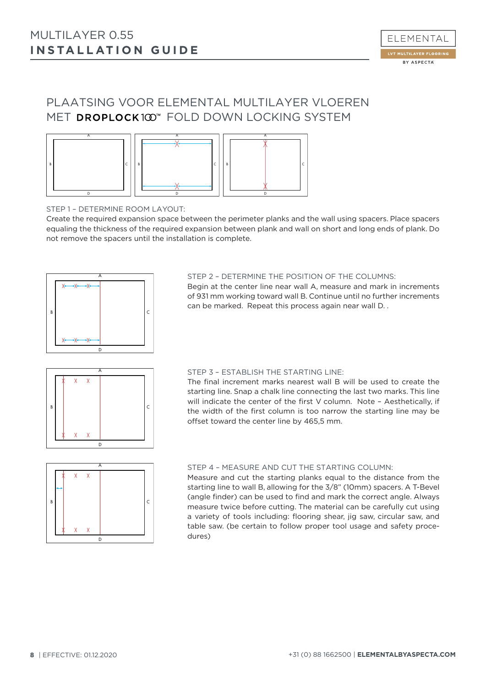## PLAATSING VOOR ELEMENTAL MULTILAYER VLOEREN MET DROPLOCK100" FOLD DOWN LOCKING SYSTEM



STEP 1 – DETERMINE ROOM LAYOUT:

Create the required expansion space between the perimeter planks and the wall using spacers. Place spacers equaling the thickness of the required expansion between plank and wall on short and long ends of plank. Do not remove the spacers until the installation is complete.



#### STEP 2 – DETERMINE THE POSITION OF THE COLUMNS:

Begin at the center line near wall A, measure and mark in increments of 931 mm working toward wall B. Continue until no further increments can be marked. Repeat this process again near wall D. .



#### STEP 3 – ESTABLISH THE STARTING LINE:

The final increment marks nearest wall B will be used to create the starting line. Snap a chalk line connecting the last two marks. This line will indicate the center of the first V column. Note – Aesthetically, if the width of the first column is too narrow the starting line may be offset toward the center line by 465,5 mm.



#### STEP 4 – MEASURE AND CUT THE STARTING COLUMN:

Measure and cut the starting planks equal to the distance from the starting line to wall B, allowing for the 3/8" (10mm) spacers. A T-Bevel (angle finder) can be used to find and mark the correct angle. Always measure twice before cutting. The material can be carefully cut using a variety of tools including: flooring shear, jig saw, circular saw, and table saw. (be certain to follow proper tool usage and safety procedures)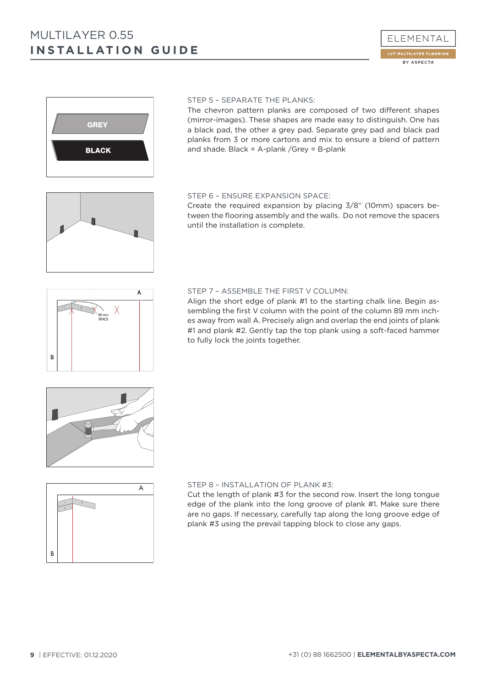



#### STEP 5 – SEPARATE THE PLANKS:

The chevron pattern planks are composed of two different shapes (mirror-images). These shapes are made easy to distinguish. One has a black pad, the other a grey pad. Separate grey pad and black pad planks from 3 or more cartons and mix to ensure a blend of pattern and shade. Black = A-plank /Grey = B-plank

## STEP 6 – ENSURE EXPANSION SPACE:

Create the required expansion by placing 3/8" (10mm) spacers between the flooring assembly and the walls. Do not remove the spacers until the installation is complete.



89 mm<br>SPACE

B

#### STEP 7 – ASSEMBLE THE FIRST V COLUMN:

Align the short edge of plank #1 to the starting chalk line. Begin assembling the first V column with the point of the column 89 mm inches away from wall A. Precisely align and overlap the end joints of plank #1 and plank #2. Gently tap the top plank using a soft-faced hammer to fully lock the joints together.





#### STEP 8 – INSTALLATION OF PLANK #3:

Cut the length of plank #3 for the second row. Insert the long tongue edge of the plank into the long groove of plank #1. Make sure there are no gaps. If necessary, carefully tap along the long groove edge of plank #3 using the prevail tapping block to close any gaps.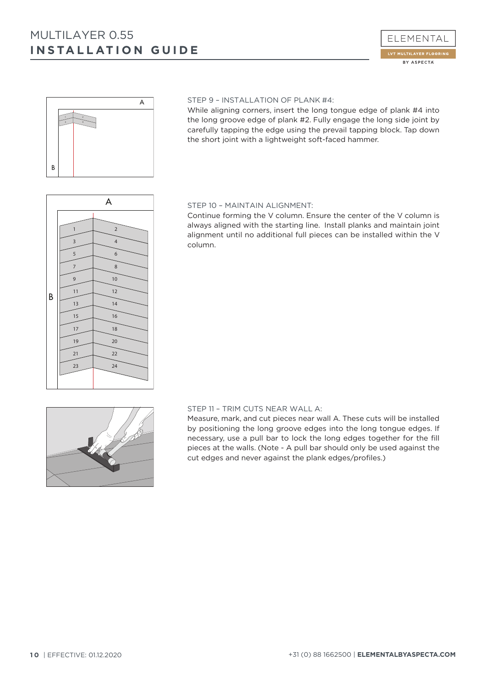## **INSTALLATION GUIDE** MULTILAYER 0.55





#### STEP 9 – INSTALLATION OF PLANK #4:

While aligning corners, insert the long tongue edge of plank #4 into the long groove edge of plank #2. Fully engage the long side joint by carefully tapping the edge using the prevail tapping block. Tap down the short joint with a lightweight soft-faced hammer.

## A B  $1 \leftarrow 2$  $3 \leftarrow 4$ 5  $\rightarrow$  6 7  $\rightarrow$  8 9  $1$  10  $11 \quad \downarrow \quad 12$  $13 \rightarrow 14$ 15 16  $17 \rightarrow 18$  $19 \t 20$  $21 \t 22$ 23  $\frac{1}{24}$

#### STEP 10 – MAINTAIN ALIGNMENT:

Continue forming the V column. Ensure the center of the V column is always aligned with the starting line. Install planks and maintain joint alignment until no additional full pieces can be installed within the V column.

#### STEP 11 – TRIM CUTS NEAR WALL A:

Measure, mark, and cut pieces near wall A. These cuts will be installed by positioning the long groove edges into the long tongue edges. If necessary, use a pull bar to lock the long edges together for the fill pieces at the walls. (Note - A pull bar should only be used against the cut edges and never against the plank edges/profiles.)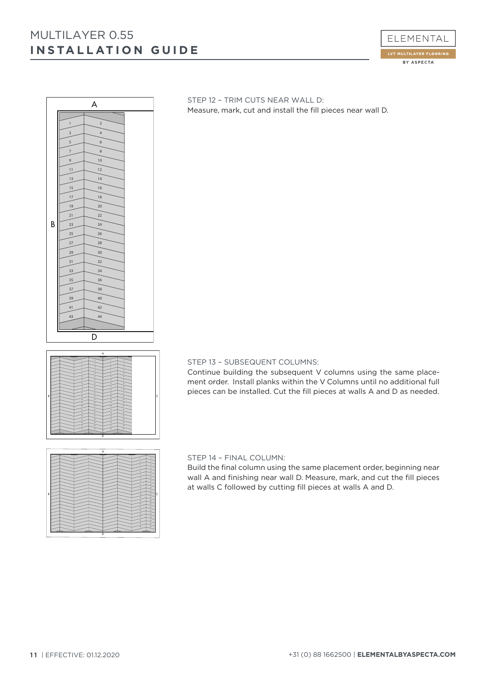## **INSTALLATION GUIDE** MULTILAYER 0.55





| ٠<br>٠<br>30<br><b>SP</b><br>$\pi$<br>12<br>m<br>m<br>12<br>24<br>m<br>14<br>$^{12}$<br>36<br>m<br><b>SE</b><br>12<br>$\mathbf{z}$<br>12 <sup>°</sup><br>$\mathbf{z}$<br>$\overline{30}$<br>$\mathbf{r}$<br>$^{12}$<br>$\mathbf{z}$<br>$\overline{12}$<br>$\overline{x}$<br>21<br>z<br>Ċ<br>B<br>$_{24}$<br>34<br>21<br>z<br>ъ<br>3ú<br>26<br>u<br>ъ.<br>$_{28}$<br>27<br>$\overline{\mathbf{z}}$<br>ъ<br>$\overline{3}$<br>×<br>m<br>xi<br>m<br>u<br>$\mathbf{z}$<br>$\overline{M}$<br>'n<br>M<br>n<br>36<br>n<br>×<br>Þ<br>x<br>$\overline{D}$<br>$\sim$<br>40<br>×<br>$\sim$<br>m<br>$\alpha$<br>$\sigma$<br>41<br>×<br>$^{44}$<br>e<br>in. |
|------------------------------------------------------------------------------------------------------------------------------------------------------------------------------------------------------------------------------------------------------------------------------------------------------------------------------------------------------------------------------------------------------------------------------------------------------------------------------------------------------------------------------------------------------------------------------------------------------------------------------------------------|
| D                                                                                                                                                                                                                                                                                                                                                                                                                                                                                                                                                                                                                                              |

| B |  |   |
|---|--|---|
|   |  |   |
|   |  |   |
|   |  |   |
|   |  |   |
|   |  |   |
|   |  |   |
|   |  |   |
|   |  |   |
|   |  | г |
|   |  |   |
|   |  |   |
|   |  |   |
|   |  |   |
|   |  |   |
|   |  |   |
|   |  |   |
|   |  |   |

STEP 12 – TRIM CUTS NEAR WALL D: Measure, mark, cut and install the fill pieces near wall D.

#### STEP 13 – SUBSEQUENT COLUMNS:

Continue building the subsequent V columns using the same placement order. Install planks within the V Columns until no additional full pieces can be installed. Cut the fill pieces at walls A and D as needed.

#### STEP 14 – FINAL COLUMN:

Build the final column using the same placement order, beginning near wall A and finishing near wall D. Measure, mark, and cut the fill pieces at walls C followed by cutting fill pieces at walls A and D.